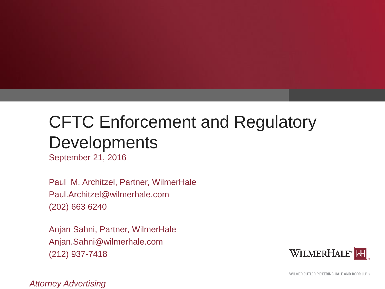# CFTC Enforcement and Regulatory **Developments**

September 21, 2016

Paul M. Architzel, Partner, WilmerHale Paul.Architzel@wilmerhale.com (202) 663 6240

Anjan Sahni, Partner, WilmerHale Anjan.Sahni@wilmerhale.com (212) 937-7418



WILMER CUTLER PICKERING HALE AND DORR LLP ®

*Attorney Advertising*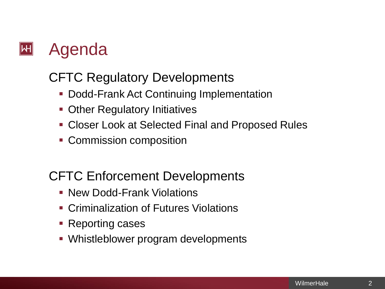

### CFTC Regulatory Developments

- **Dodd-Frank Act Continuing Implementation**
- **Other Regulatory Initiatives**
- **Closer Look at Selected Final and Proposed Rules**
- **Commission composition**

### CFTC Enforcement Developments

- **New Dodd-Frank Violations**
- **EXECT** Criminalization of Futures Violations
- **Reporting cases**
- Whistleblower program developments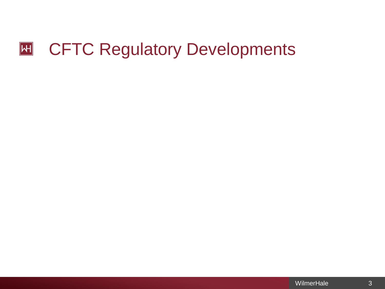### $\boxed{\text{H}$ CFTC Regulatory Developments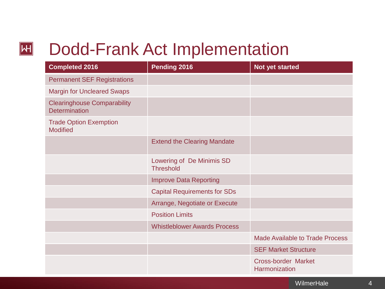## Dodd-Frank Act Implementation

 $\boxed{\mathsf{H}}$ 

| <b>Completed 2016</b>                                      | Pending 2016                                  | Not yet started                                    |
|------------------------------------------------------------|-----------------------------------------------|----------------------------------------------------|
| <b>Permanent SEF Registrations</b>                         |                                               |                                                    |
| <b>Margin for Uncleared Swaps</b>                          |                                               |                                                    |
| <b>Clearinghouse Comparability</b><br><b>Determination</b> |                                               |                                                    |
| <b>Trade Option Exemption</b><br><b>Modified</b>           |                                               |                                                    |
|                                                            | <b>Extend the Clearing Mandate</b>            |                                                    |
|                                                            | Lowering of De Minimis SD<br><b>Threshold</b> |                                                    |
|                                                            | <b>Improve Data Reporting</b>                 |                                                    |
|                                                            | <b>Capital Requirements for SDs</b>           |                                                    |
|                                                            | Arrange, Negotiate or Execute                 |                                                    |
|                                                            | <b>Position Limits</b>                        |                                                    |
|                                                            | <b>Whistleblower Awards Process</b>           |                                                    |
|                                                            |                                               | <b>Made Available to Trade Process</b>             |
|                                                            |                                               | <b>SEF Market Structure</b>                        |
|                                                            |                                               | <b>Cross-border Market</b><br><b>Harmonization</b> |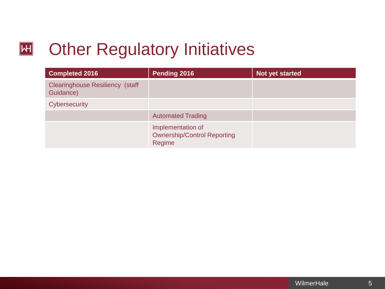### **Other Regulatory Initiatives**  $\boxed{\mathsf{H}}$

| <b>Completed 2016</b>                               | Pending 2016                                                      | Not yet started |
|-----------------------------------------------------|-------------------------------------------------------------------|-----------------|
| <b>Clearinghouse Resiliency (staff</b><br>Guidance) |                                                                   |                 |
| <b>Cybersecurity</b>                                |                                                                   |                 |
|                                                     | <b>Automated Trading</b>                                          |                 |
|                                                     | Implementation of<br><b>Ownership/Control Reporting</b><br>Regime |                 |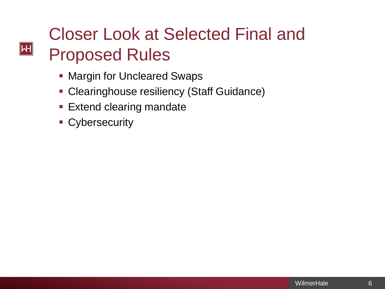# Closer Look at Selected Final and Proposed Rules

- **Margin for Uncleared Swaps**
- **Clearinghouse resiliency (Staff Guidance)**
- **Extend clearing mandate**
- **Cybersecurity**

 $|\mathsf{H}|$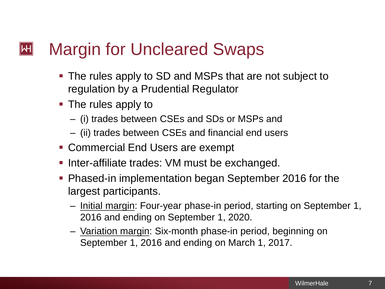#### Margin for Uncleared Swaps  $\mathsf{|\mathsf{H}|}$

- The rules apply to SD and MSPs that are not subject to regulation by a Prudential Regulator
- The rules apply to
	- (i) trades between CSEs and SDs or MSPs and
	- (ii) trades between CSEs and financial end users
- Commercial End Users are exempt
- **Inter-affiliate trades: VM must be exchanged.**
- Phased-in implementation began September 2016 for the largest participants.
	- Initial margin: Four-year phase-in period, starting on September 1, 2016 and ending on September 1, 2020.
	- Variation margin: Six-month phase-in period, beginning on September 1, 2016 and ending on March 1, 2017.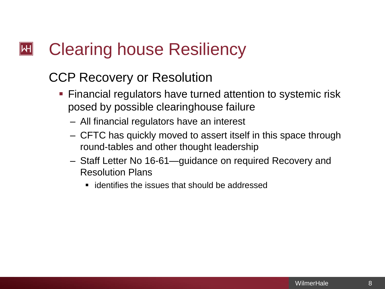### Clearing house Resiliency  $\mathsf{|\mathsf{H}|}$

### CCP Recovery or Resolution

- Financial regulators have turned attention to systemic risk posed by possible clearinghouse failure
	- All financial regulators have an interest
	- CFTC has quickly moved to assert itself in this space through round-tables and other thought leadership
	- Staff Letter No 16-61—guidance on required Recovery and Resolution Plans
		- identifies the issues that should be addressed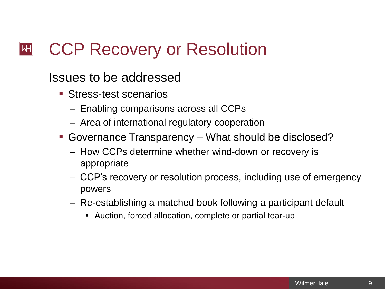#### CCP Recovery or Resolution  $\mathsf{|\mathsf{H}|}$

Issues to be addressed

- Stress-test scenarios
	- Enabling comparisons across all CCPs
	- Area of international regulatory cooperation
- Governance Transparency What should be disclosed?
	- How CCPs determine whether wind-down or recovery is appropriate
	- CCP's recovery or resolution process, including use of emergency powers
	- Re-establishing a matched book following a participant default
		- Auction, forced allocation, complete or partial tear-up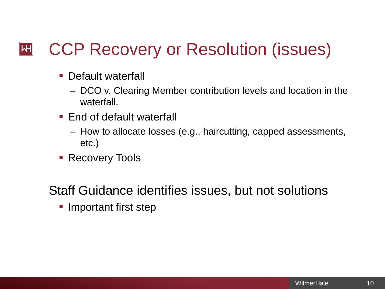### CCP Recovery or Resolution (issues)  $|\mathsf{H}|$

- **-** Default waterfall
	- DCO v. Clearing Member contribution levels and location in the waterfall.
- End of default waterfall
	- How to allocate losses (e.g., haircutting, capped assessments, etc.)
- **Recovery Tools**

Staff Guidance identifies issues, but not solutions

**Important first step**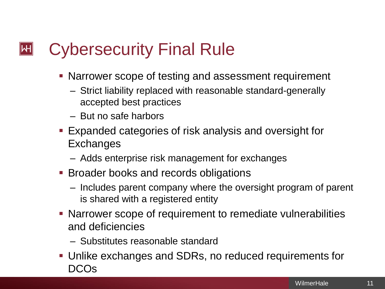### Cybersecurity Final Rule  $\mathsf{|\mathsf{H}|}$

- **Narrower scope of testing and assessment requirement** 
	- Strict liability replaced with reasonable standard-generally accepted best practices
	- But no safe harbors
- Expanded categories of risk analysis and oversight for **Exchanges** 
	- Adds enterprise risk management for exchanges
- **Broader books and records obligations** 
	- Includes parent company where the oversight program of parent is shared with a registered entity
- Narrower scope of requirement to remediate vulnerabilities and deficiencies
	- Substitutes reasonable standard
- Unlike exchanges and SDRs, no reduced requirements for DCOs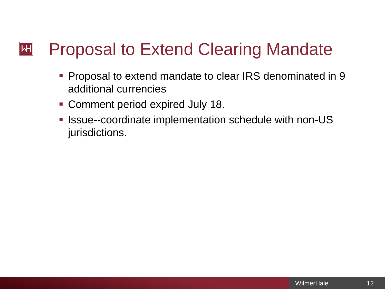### Proposal to Extend Clearing Mandate  $\mathsf{|\mathsf{H}|}$

- **Proposal to extend mandate to clear IRS denominated in 9** additional currencies
- Comment period expired July 18.
- **Issue--coordinate implementation schedule with non-US** jurisdictions.

12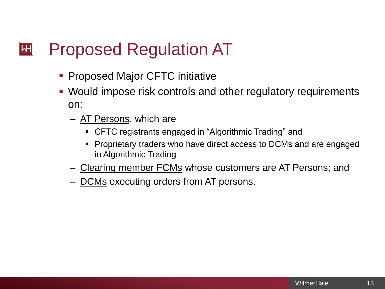### Proposed Regulation AT  $\mathsf{|\mathsf{H}|}$

- **Proposed Major CFTC initiative**
- Would impose risk controls and other regulatory requirements on:
	- AT Persons, which are
		- CFTC registrants engaged in "Algorithmic Trading" and
		- **Proprietary traders who have direct access to DCMs and are engaged** in Algorithmic Trading
	- Clearing member FCMs whose customers are AT Persons; and
	- DCMs executing orders from AT persons.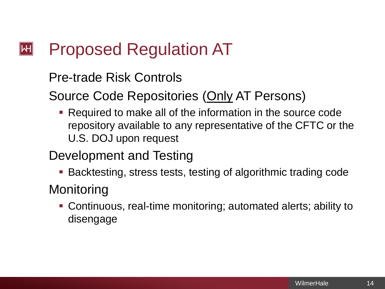#### Proposed Regulation AT  $\mathsf{|\mathsf{H}|}$

### Pre-trade Risk Controls

Source Code Repositories (Only AT Persons)

 Required to make all of the information in the source code repository available to any representative of the CFTC or the U.S. DOJ upon request

### Development and Testing

**Backtesting, stress tests, testing of algorithmic trading code** 

### **Monitoring**

 Continuous, real-time monitoring; automated alerts; ability to disengage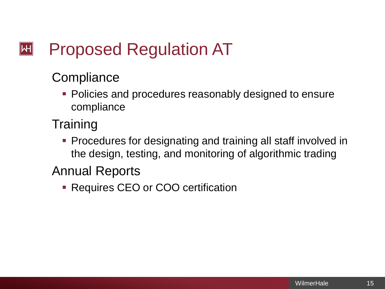### Proposed Regulation AT  $\mathsf{|\mathsf{H}|}$

## **Compliance**

- **Policies and procedures reasonably designed to ensure** compliance
- **Training** 
	- **Procedures for designating and training all staff involved in** the design, testing, and monitoring of algorithmic trading

### Annual Reports

**- Requires CEO or COO certification**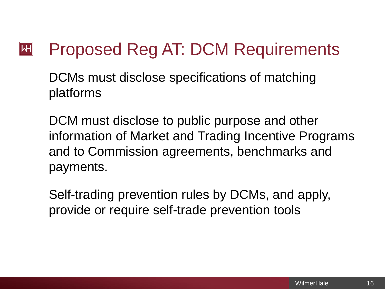### Proposed Reg AT: DCM Requirements  $\mathsf{|\mathsf{H}|}$

DCMs must disclose specifications of matching platforms

DCM must disclose to public purpose and other information of Market and Trading Incentive Programs and to Commission agreements, benchmarks and payments.

Self-trading prevention rules by DCMs, and apply, provide or require self-trade prevention tools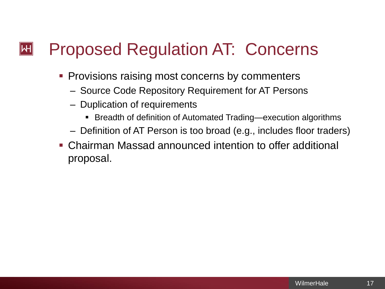### Proposed Regulation AT: Concerns  $\mathsf{|\mathsf{H}|}$

- **Provisions raising most concerns by commenters** 
	- Source Code Repository Requirement for AT Persons
	- Duplication of requirements
		- Breadth of definition of Automated Trading—execution algorithms
	- Definition of AT Person is too broad (e.g., includes floor traders)
- Chairman Massad announced intention to offer additional proposal.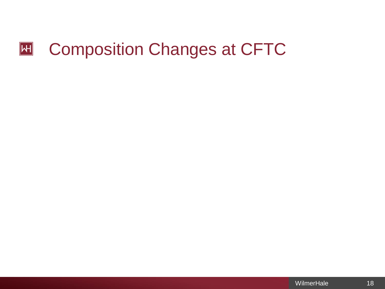### $\boxed{\mathsf{H}$ Composition Changes at CFTC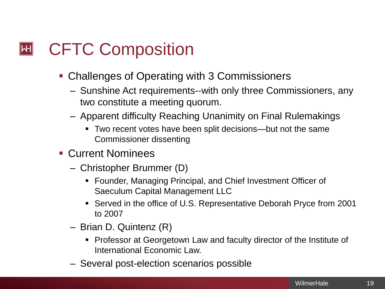### CFTC Composition  $|\mathsf{H}|$

- **Challenges of Operating with 3 Commissioners** 
	- Sunshine Act requirements--with only three Commissioners, any two constitute a meeting quorum.
	- Apparent difficulty Reaching Unanimity on Final Rulemakings
		- Two recent votes have been split decisions—but not the same Commissioner dissenting
- Current Nominees
	- Christopher Brummer (D)
		- Founder, Managing Principal, and Chief Investment Officer of Saeculum Capital Management LLC
		- Served in the office of U.S. Representative Deborah Pryce from 2001 to 2007
	- Brian D. Quintenz (R)
		- **Professor at Georgetown Law and faculty director of the Institute of** International Economic Law.
	- Several post-election scenarios possible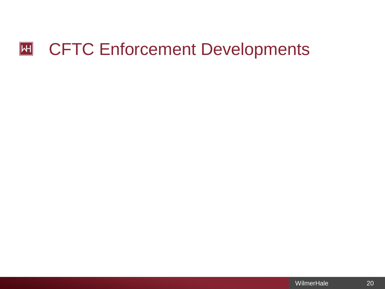### CFTC Enforcement Developments  $\overline{\mathsf{H}}$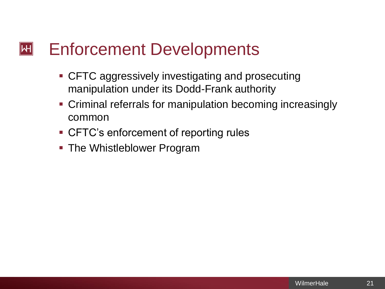#### Enforcement Developments  $\mathsf{|\mathsf{H}|}$

- **CFTC aggressively investigating and prosecuting** manipulation under its Dodd-Frank authority
- **Criminal referrals for manipulation becoming increasingly** common
- CFTC's enforcement of reporting rules
- **The Whistleblower Program**

21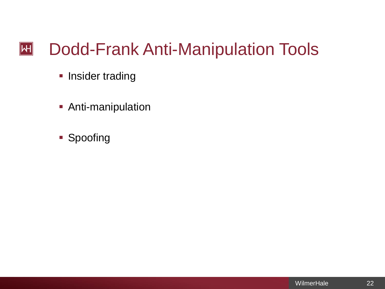### Dodd-Frank Anti-Manipulation Tools **H**

- **Insider trading**
- **Anti-manipulation**
- **Spoofing**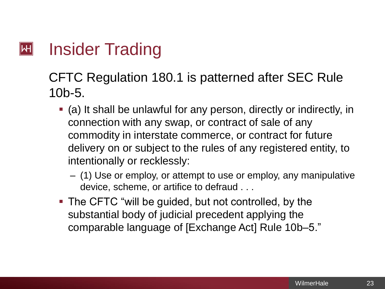### Insider Trading  $\mathsf{|\mathsf{H}|}$

### CFTC Regulation 180.1 is patterned after SEC Rule 10b-5.

- (a) It shall be unlawful for any person, directly or indirectly, in connection with any swap, or contract of sale of any commodity in interstate commerce, or contract for future delivery on or subject to the rules of any registered entity, to intentionally or recklessly:
	- (1) Use or employ, or attempt to use or employ, any manipulative device, scheme, or artifice to defraud . . .
- The CFTC "will be guided, but not controlled, by the substantial body of judicial precedent applying the comparable language of [Exchange Act] Rule 10b–5."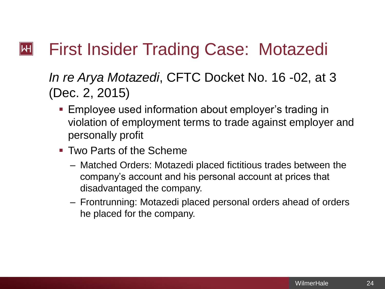### First Insider Trading Case: Motazedi  $\mathsf{|\mathsf{H}|}$

### *In re Arya Motazedi*, CFTC Docket No. 16 -02, at 3 (Dec. 2, 2015)

- **Employee used information about employer's trading in** violation of employment terms to trade against employer and personally profit
- **Two Parts of the Scheme** 
	- Matched Orders: Motazedi placed fictitious trades between the company's account and his personal account at prices that disadvantaged the company.
	- Frontrunning: Motazedi placed personal orders ahead of orders he placed for the company.

24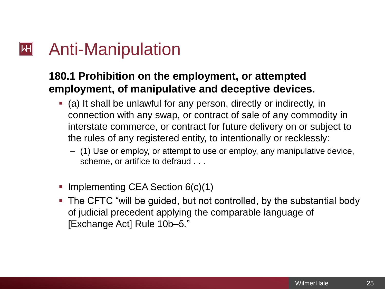#### Anti-Manipulation  $\mathsf{|\mathsf{H}|}$

### **180.1 Prohibition on the employment, or attempted employment, of manipulative and deceptive devices.**

- (a) It shall be unlawful for any person, directly or indirectly, in connection with any swap, or contract of sale of any commodity in interstate commerce, or contract for future delivery on or subject to the rules of any registered entity, to intentionally or recklessly:
	- (1) Use or employ, or attempt to use or employ, any manipulative device, scheme, or artifice to defraud . . .
- Implementing CEA Section 6(c)(1)
- The CFTC "will be guided, but not controlled, by the substantial body of judicial precedent applying the comparable language of [Exchange Act] Rule 10b–5."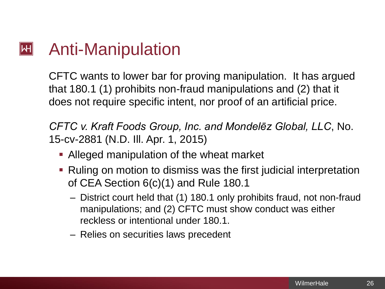#### Anti-Manipulation  $\mathsf{|\mathsf{H}|}$

CFTC wants to lower bar for proving manipulation. It has argued that 180.1 (1) prohibits non-fraud manipulations and (2) that it does not require specific intent, nor proof of an artificial price.

*CFTC v. Kraft Foods Group, Inc. and Mondelēz Global, LLC*, No. 15-cv-2881 (N.D. Ill. Apr. 1, 2015)

- **Alleged manipulation of the wheat market**
- Ruling on motion to dismiss was the first judicial interpretation of CEA Section 6(c)(1) and Rule 180.1
	- District court held that (1) 180.1 only prohibits fraud, not non-fraud manipulations; and (2) CFTC must show conduct was either reckless or intentional under 180.1.
	- Relies on securities laws precedent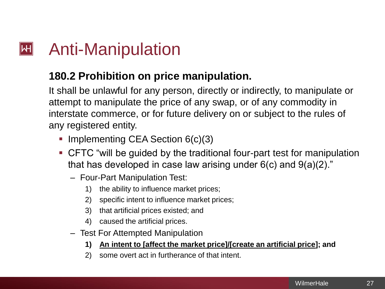### Anti-Manipulation  $\mathsf{|\mathsf{H}|}$

### **180.2 Prohibition on price manipulation.**

It shall be unlawful for any person, directly or indirectly, to manipulate or attempt to manipulate the price of any swap, or of any commodity in interstate commerce, or for future delivery on or subject to the rules of any registered entity.

- Implementing CEA Section  $6(c)(3)$
- CFTC "will be guided by the traditional four-part test for manipulation that has developed in case law arising under  $6(c)$  and  $9(a)(2)$ ."
	- Four-Part Manipulation Test:
		- 1) the ability to influence market prices;
		- 2) specific intent to influence market prices;
		- 3) that artificial prices existed; and
		- 4) caused the artificial prices.
	- Test For Attempted Manipulation
		- **1) An intent to [affect the market price]/[create an artificial price]; and**
		- 2) some overt act in furtherance of that intent.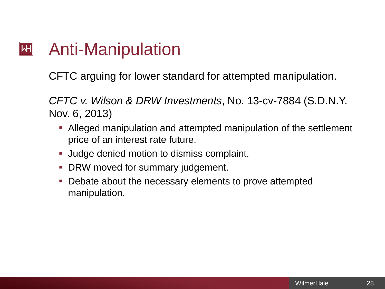### Anti-Manipulation  $\mathsf{H}\parallel$

CFTC arguing for lower standard for attempted manipulation.

*CFTC v. Wilson & DRW Investments*, No. 13-cv-7884 (S.D.N.Y. Nov. 6, 2013)

- Alleged manipulation and attempted manipulation of the settlement price of an interest rate future.
- **Judge denied motion to dismiss complaint.**
- **DRW moved for summary judgement.**
- Debate about the necessary elements to prove attempted manipulation.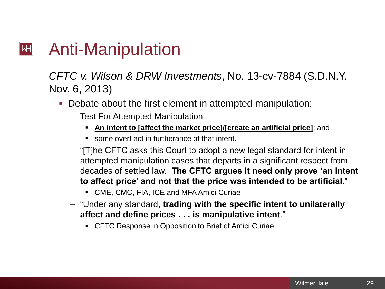#### $|\mathsf{H}|$ Anti-Manipulation

### *CFTC v. Wilson & DRW Investments*, No. 13-cv-7884 (S.D.N.Y. Nov. 6, 2013)

- Debate about the first element in attempted manipulation:
	- Test For Attempted Manipulation
		- **An intent to [affect the market price]/[create an artificial price]**; and
		- some overt act in furtherance of that intent.
	- "[T]he CFTC asks this Court to adopt a new legal standard for intent in attempted manipulation cases that departs in a significant respect from decades of settled law. **The CFTC argues it need only prove 'an intent to affect price' and not that the price was intended to be artificial.**"
		- CME, CMC, FIA, ICE and MFA Amici Curiae
	- "Under any standard, **trading with the specific intent to unilaterally affect and define prices . . . is manipulative intent**."
		- CFTC Response in Opposition to Brief of Amici Curiae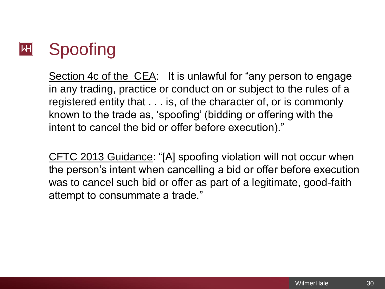

Section 4c of the CEA: It is unlawful for "any person to engage in any trading, practice or conduct on or subject to the rules of a registered entity that . . . is, of the character of, or is commonly known to the trade as, 'spoofing' (bidding or offering with the intent to cancel the bid or offer before execution)."

CFTC 2013 Guidance: "[A] spoofing violation will not occur when the person's intent when cancelling a bid or offer before execution was to cancel such bid or offer as part of a legitimate, good-faith attempt to consummate a trade."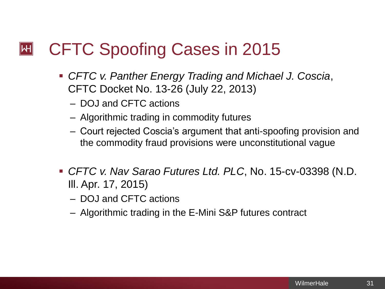#### CFTC Spoofing Cases in 2015  $|\mathsf{H}|$

- *CFTC v. Panther Energy Trading and Michael J. Coscia*, CFTC Docket No. 13-26 (July 22, 2013)
	- DOJ and CFTC actions
	- Algorithmic trading in commodity futures
	- Court rejected Coscia's argument that anti-spoofing provision and the commodity fraud provisions were unconstitutional vague
- *CFTC v. Nav Sarao Futures Ltd. PLC*, No. 15-cv-03398 (N.D. Ill. Apr. 17, 2015)
	- DOJ and CFTC actions
	- Algorithmic trading in the E-Mini S&P futures contract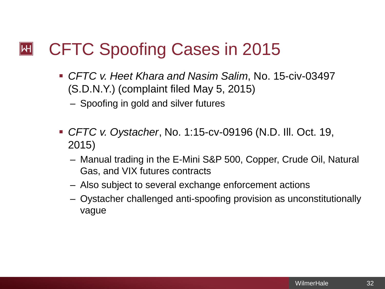#### CFTC Spoofing Cases in 2015  $\mathsf{|\mathsf{H}|}$

- *CFTC v. Heet Khara and Nasim Salim*, No. 15-civ-03497 (S.D.N.Y.) (complaint filed May 5, 2015)
	- Spoofing in gold and silver futures
- *CFTC v. Oystacher*, No. 1:15-cv-09196 (N.D. Ill. Oct. 19, 2015)
	- Manual trading in the E-Mini S&P 500, Copper, Crude Oil, Natural Gas, and VIX futures contracts
	- Also subject to several exchange enforcement actions
	- Oystacher challenged anti-spoofing provision as unconstitutionally vague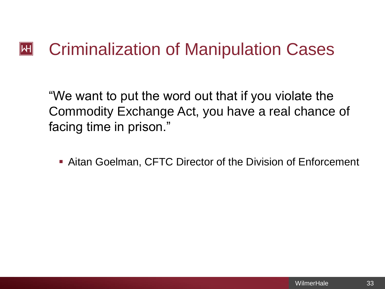#### Criminalization of Manipulation Cases  $\mathsf{|\mathsf{H}|}$

"We want to put the word out that if you violate the Commodity Exchange Act, you have a real chance of facing time in prison."

Aitan Goelman, CFTC Director of the Division of Enforcement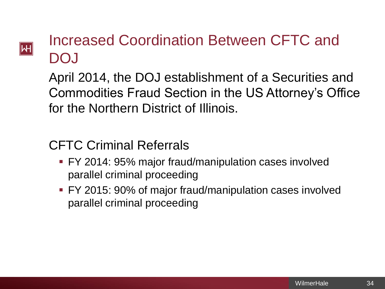## $|\mathsf{H}|$

## Increased Coordination Between CFTC and DOJ

April 2014, the DOJ establishment of a Securities and Commodities Fraud Section in the US Attorney's Office for the Northern District of Illinois.

### CFTC Criminal Referrals

- FY 2014: 95% major fraud/manipulation cases involved parallel criminal proceeding
- FY 2015: 90% of major fraud/manipulation cases involved parallel criminal proceeding

34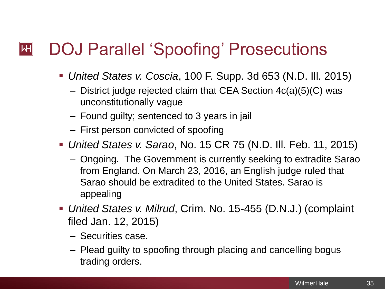### DOJ Parallel 'Spoofing' Prosecutions  $\mathsf{|\mathsf{H}|}$

- *United States v. Coscia*, 100 F. Supp. 3d 653 (N.D. Ill. 2015)
	- District judge rejected claim that CEA Section 4c(a)(5)(C) was unconstitutionally vague
	- Found guilty; sentenced to 3 years in jail
	- First person convicted of spoofing
- *United States v. Sarao*, No. 15 CR 75 (N.D. Ill. Feb. 11, 2015)
	- Ongoing. The Government is currently seeking to extradite Sarao from England. On March 23, 2016, an English judge ruled that Sarao should be extradited to the United States. Sarao is appealing
- *United States v. Milrud*, Crim. No. 15-455 (D.N.J.) (complaint filed Jan. 12, 2015)
	- Securities case.
	- Plead guilty to spoofing through placing and cancelling bogus trading orders.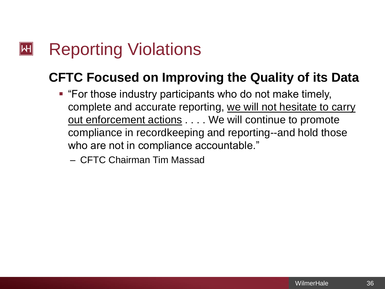### Reporting Violations  $\mathsf{|\mathsf{H}|}$

## **CFTC Focused on Improving the Quality of its Data**

- "For those industry participants who do not make timely, complete and accurate reporting, we will not hesitate to carry out enforcement actions . . . . We will continue to promote compliance in recordkeeping and reporting--and hold those who are not in compliance accountable."
	- CFTC Chairman Tim Massad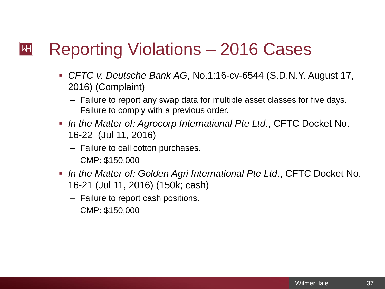### Reporting Violations – 2016 Cases  $\mathsf{|\mathsf{H}|}$

- *CFTC v. Deutsche Bank AG*, No.1:16-cv-6544 (S.D.N.Y. August 17, 2016) (Complaint)
	- Failure to report any swap data for multiple asset classes for five days. Failure to comply with a previous order.
- *In the Matter of: Agrocorp International Pte Ltd*., CFTC Docket No. 16-22 (Jul 11, 2016)
	- Failure to call cotton purchases.
	- CMP: \$150,000
- *In the Matter of: Golden Agri International Pte Ltd*., CFTC Docket No. 16-21 (Jul 11, 2016) (150k; cash)
	- Failure to report cash positions.
	- CMP: \$150,000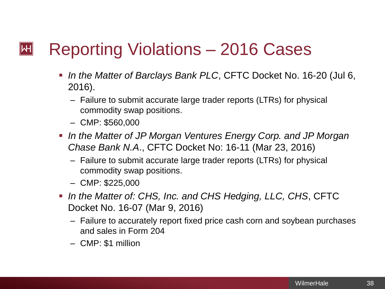#### Reporting Violations – 2016 Cases  $\mathsf{|\mathsf{H}|}$

- *In the Matter of Barclays Bank PLC*, CFTC Docket No. 16-20 (Jul 6, 2016).
	- Failure to submit accurate large trader reports (LTRs) for physical commodity swap positions.
	- CMP: \$560,000
- **In the Matter of JP Morgan Ventures Energy Corp. and JP Morgan** *Chase Bank N.A*., CFTC Docket No: 16-11 (Mar 23, 2016)
	- Failure to submit accurate large trader reports (LTRs) for physical commodity swap positions.
	- CMP: \$225,000
- *In the Matter of: CHS, Inc. and CHS Hedging, LLC, CHS*, CFTC Docket No. 16-07 (Mar 9, 2016)
	- Failure to accurately report fixed price cash corn and soybean purchases and sales in Form 204
	- CMP: \$1 million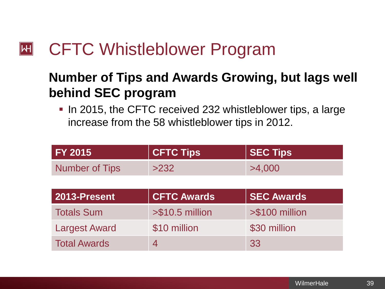#### CFTC Whistleblower Program  $\mathsf{|\mathsf{H}|}$

Total Awards 14 33

### **Number of Tips and Awards Growing, but lags well behind SEC program**

**IF 10 2015, the CFTC received 232 whistleblower tips, a large 10 and 10 and 10 and 10 and 10 and 10 and 10 and 10 and 10 and 10 and 10 and 10 and 10 and 10 and 10 and 10 and 10 and 10 and 10 and 10 and 10 and 10 and 10 an** increase from the 58 whistleblower tips in 2012.

| <b>CFTC Tips</b>   | <b>SEC Tips</b>   |
|--------------------|-------------------|
| >232               | >4,000            |
|                    |                   |
| <b>CFTC Awards</b> | <b>SEC Awards</b> |
| $> $10.5$ million  | $> $100$ million  |
| \$10 million       | \$30 million      |
|                    |                   |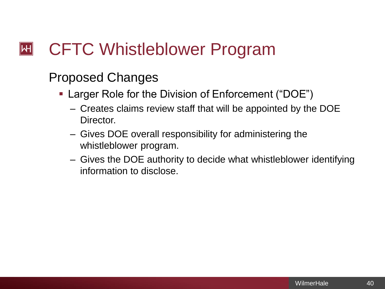### CFTC Whistleblower Program  $\mathsf{|\mathsf{H}|}$

### Proposed Changes

- **Larger Role for the Division of Enforcement ("DOE")** 
	- Creates claims review staff that will be appointed by the DOE Director.
	- Gives DOE overall responsibility for administering the whistleblower program.
	- Gives the DOE authority to decide what whistleblower identifying information to disclose.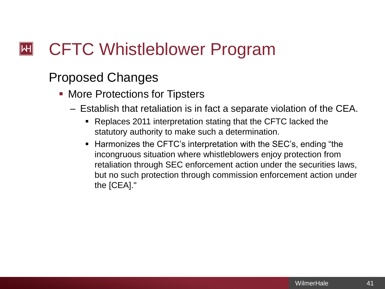### CFTC Whistleblower Program  $\mathsf{|\mathsf{H}|}$

### Proposed Changes

- More Protections for Tipsters
	- Establish that retaliation is in fact a separate violation of the CEA.
		- Replaces 2011 interpretation stating that the CFTC lacked the statutory authority to make such a determination.
		- Harmonizes the CFTC's interpretation with the SEC's, ending "the incongruous situation where whistleblowers enjoy protection from retaliation through SEC enforcement action under the securities laws, but no such protection through commission enforcement action under the [CEA]."